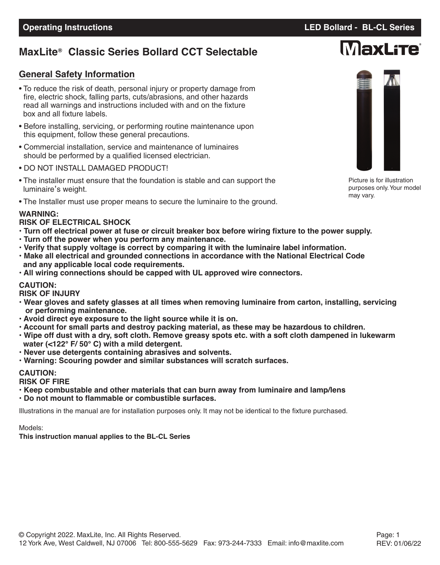## **MaxLite Classic Series Bollard CCT Selectable ®**

### **General Safety Information**

- To reduce the risk of death, personal injury or property damage from fire, electric shock, falling parts, cuts/abrasions, and other hazards read all warnings and instructions included with and on the fixture box and all fixture labels.
- Before installing, servicing, or performing routine maintenance upon this equipment, follow these general precautions.
- Commercial installation, service and maintenance of luminaires should be performed by a qualified licensed electrician.
- DO NOT INSTALL DAMAGED PRODUCT!
- The installer must ensure that the foundation is stable and can support the luminaire's weight.
- The Installer must use proper means to secure the luminaire to the ground.

### **WARNING:**

#### **RISK OF ELECTRICAL SHOCK**

- . Turn off electrical power at fuse or circuit breaker box before wiring fixture to the power supply.
- **• Turn off the power when you perform any maintenance.**
- **• Verify that supply voltage is correct by comparing it with the luminaire label information.**
- **• Make all electrical and grounded connections in accordance with the National Electrical Code and any applicable local code requirements.**
- **• All wiring connections should be capped with UL approved wire connectors.**

#### **CAUTION:**

**RISK OF INJURY**

- **• Wear gloves and safety glasses at all times when removing luminaire from carton, installing, servicing or performing maintenance.**
- **• Avoid direct eye exposure to the light source while it is on.**
- **• Account for small parts and destroy packing material, as these may be hazardous to children.**
- . Wipe off dust with a dry, soft cloth. Remove greasy spots etc. with a soft cloth dampened in lukewarm **water (<122° F/ 50° C) with a mild detergent.**
- **• Never use detergents containing abrasives and solvents.**
- **• Warning: Scouring powder and similar substances will scratch surfaces.**

### **CAUTION:**

#### **RISK OF FIRE**

- **• Keep combustable and other materials that can burn away from luminaire and lamp/lens**
- **• Do not mount to flammable or combustible surfaces.**

Illustrations in the manual are for installation purposes only. It may not be identical to the fixture purchased.

#### Models:

**This instruction manual applies to the BL-CL Series**

Picture is for illustration purposes only.Your model may vary.

# **MaxLite**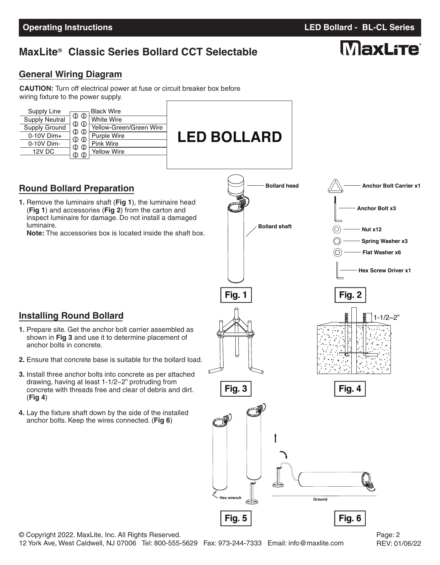# **MaxLite<sup>®</sup> Classic Series Bollard CCT Selectable**

**LED BOLLARD**

## **General Wiring Diagram**

**CAUTION:** Turn off electrical power at fuse or circuit breaker box before wiring fixture to the power supply.

| Supply Line           |                         | <b>Black Wire</b>       |
|-----------------------|-------------------------|-------------------------|
| <b>Supply Neutral</b> | $\mathbb O$ $\mathbb O$ | <b>White Wire</b>       |
| Supply Ground         | $\circledcirc$<br>⊕     | Yellow-Green/Green Wire |
| $0-10V$ Dim+          | (I)<br>⊕                | <b>Purple Wire</b>      |
| 0-10V Dim-            | AD.<br>Œ                | Pink Wire               |
| <b>12V DC</b>         | ⋒                       | <b>Yellow Wire</b>      |
|                       |                         |                         |

## **Round Bollard Preparation**

**Installing Round Bollard**

anchor bolts in concrete.

(**Fig 4**)

**1.** Remove the luminaire shaft (**Fig 1**), the luminaire head (**Fig 1**) and accessories (**Fig 2**) from the carton and inspect luminaire for damage. Do not install a damaged luminaire.

**1.** Prepare site. Get the anchor bolt carrier assembled as shown in **Fig 3** and use it to determine placement of

**2.** Ensure that concrete base is suitable for the bollard load.

**3.** Install three anchor bolts into concrete as per attached drawing, having at least 1-1/2~2" protruding from concrete with threads free and clear of debris and dirt.

**4.** Lay the fixture shaft down by the side of the installed anchor bolts. Keep the wires connected. (**Fig 6**)

**Note:** The accessories box is located inside the shaft box.



**Operating Instructions LED Bollard - BL-CL Series**

# MaxLite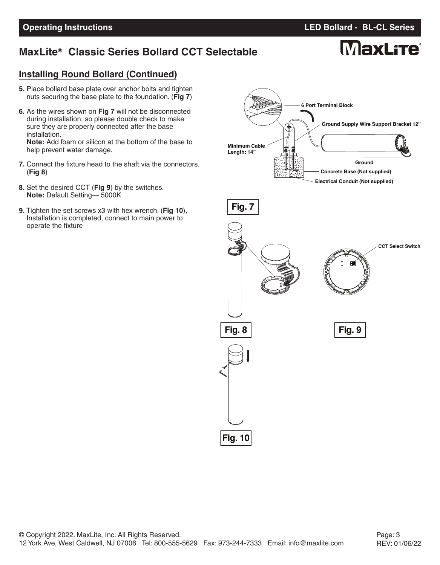## **MaxLite<sup>®</sup> Classic Series Bollard CCT Selectable**

# **MaxLite**

## **Installing Round Bollard (Continued)**

- **5.** Place bollard base plate over anchor bolts and tighten nuts securing the base plate to the foundation. (**Fig 7**)
- **6.** As the wires shown on **Fig 7** will not be disconnected during installation, so please double check to make sure they are properly connected after the base installation. **Note:** Add foam or silicon at the bottom of the base to

help prevent water damage.

- **7.** Connect the fixture head to the shaft via the connectors. (**Fig 8**)
- **8.** Set the desired CCT (**Fig 9**) by the switches. **Note:** Default Setting— 5000K
- **9.** Tighten the set screws x3 with hex wrench. (**Fig 10**), Installation is completed, connect to main power to operate the fixture

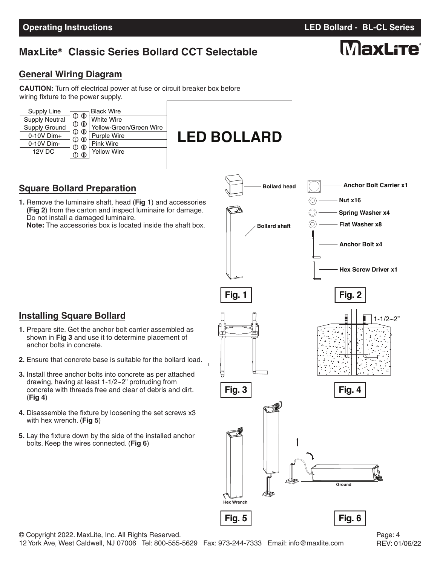# **MaxLite Classic Series Bollard CCT Selectable ®**

## **General Wiring Diagram**

**CAUTION:** Turn off electrical power at fuse or circuit breaker box before wiring fixture to the power supply.

| <b>Black Wire</b><br>Supply Line<br>$\mathbb{O}$ $\mathbb{O}$<br>White Wire<br><b>Supply Neutral</b><br>$\mathbb{O}$<br>Yellow-Green/Green Wire<br>Supply Ground<br>$\mathbb{O}$ $\mathbb{O}$<br>$0-10V$ Dim+<br>Purple Wire<br>$\mathbb{O}$ $\mathbb{O}$<br>0-10V Dim-<br><b>Pink Wire</b><br>$\circledcirc$<br>$^{\circ}$<br>12V DC<br>Yellow Wire<br>$\mathbb O$ $\mathbb O$ | <b>LED BOLLARD</b>                          |                                                                                                                                                                |
|---------------------------------------------------------------------------------------------------------------------------------------------------------------------------------------------------------------------------------------------------------------------------------------------------------------------------------------------------------------------------------|---------------------------------------------|----------------------------------------------------------------------------------------------------------------------------------------------------------------|
| <b>Square Bollard Preparation</b><br>1. Remove the luminaire shaft, head (Fig 1) and accessories<br>(Fig 2) from the carton and inspect luminaire for damage.<br>Do not install a damaged luminaire.<br>Note: The accessories box is located inside the shaft box.                                                                                                              | <b>Bollard head</b><br><b>Bollard shaft</b> | <b>Anchor Bolt Carrier x1</b><br>Nut x16<br>0<br><b>Spring Washer x4</b><br>(O<br><b>Flat Washer x8</b><br><b>Anchor Bolt x4</b><br><b>Hex Screw Driver x1</b> |
| <b>Installing Square Bollard</b>                                                                                                                                                                                                                                                                                                                                                | <b>Fig. 1</b>                               | Fig. 2<br>l<br>I<br>$1 - 1/2 - 2"$                                                                                                                             |

- **1.** Prepare site. Get the anchor bolt carrier assembled as shown in **Fig 3** and use it to determine placement of anchor bolts in concrete.
- **2.** Ensure that concrete base is suitable for the bollard load.
- **3.** Install three anchor bolts into concrete as per attached drawing, having at least 1-1/2~2" protruding from concrete with threads free and clear of debris and dirt. (**Fig 4**)
- **4.** Disassemble the fixture by loosening the set screws x3 with hex wrench. (**Fig 5**)
- **5.** Lay the fixture down by the side of the installed anchor bolts. Keep the wires connected. (**Fig 6**)



# **MaxLite**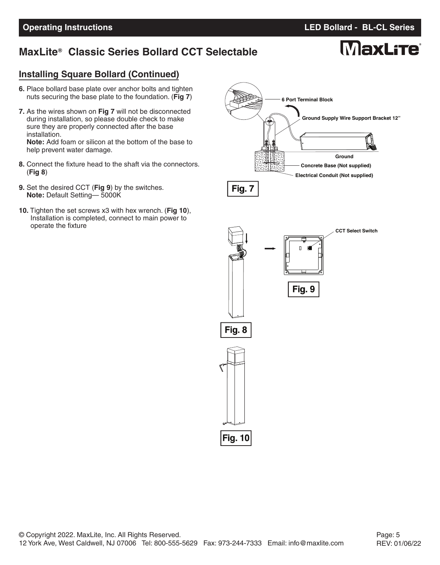## **MaxLite<sup>®</sup> Classic Series Bollard CCT Selectable**

# **MaxLite**

### **Installing Square Bollard (Continued)**

- **6.** Place bollard base plate over anchor bolts and tighten nuts securing the base plate to the foundation. (**Fig 7**)
- **7.** As the wires shown on **Fig 7** will not be disconnected during installation, so please double check to make sure they are properly connected after the base installation. **Note:** Add foam or silicon at the bottom of the base to

help prevent water damage.

- **8.** Connect the fixture head to the shaft via the connectors. (**Fig 8**)
- **9.** Set the desired CCT (**Fig 9**) by the switches. **Note:** Default Setting— 5000K
- **10.** Tighten the set screws x3 with hex wrench. (**Fig 10**), Installation is completed, connect to main power to operate the fixture